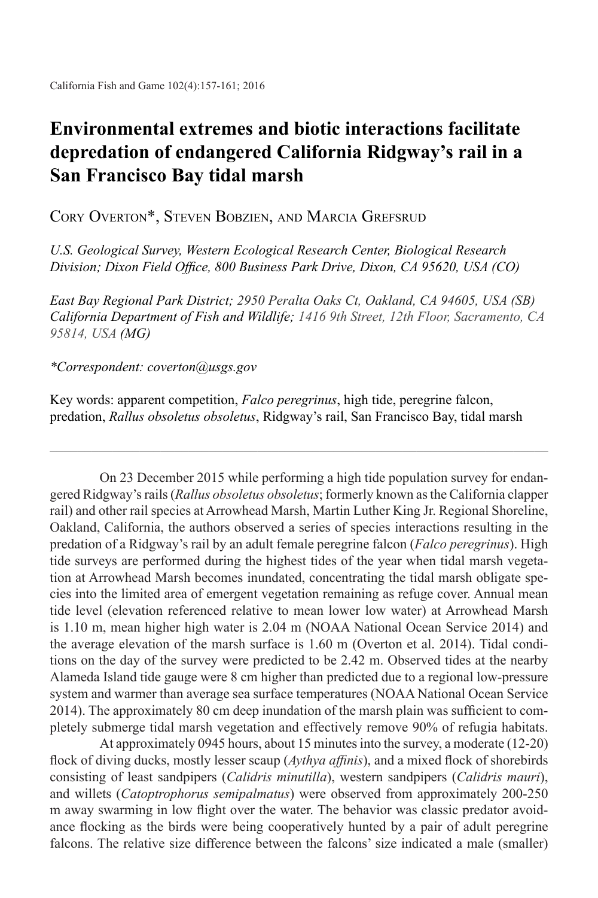## **Environmental extremes and biotic interactions facilitate depredation of endangered California Ridgway's rail in a San Francisco Bay tidal marsh**

Cory Overton\*, Steven Bobzien, and Marcia Grefsrud

*U.S. Geological Survey, Western Ecological Research Center, Biological Research Division; Dixon Field Office, 800 Business Park Drive, Dixon, CA 95620, USA (CO)*

*East Bay Regional Park District; 2950 Peralta Oaks Ct, Oakland, CA 94605, USA (SB) California Department of Fish and Wildlife; 1416 9th Street, 12th Floor, Sacramento, CA 95814, USA (MG)*

*\*Correspondent: coverton@usgs.gov*

Key words: apparent competition, *Falco peregrinus*, high tide, peregrine falcon, predation, *Rallus obsoletus obsoletus*, Ridgway's rail, San Francisco Bay, tidal marsh

 $\_$  , and the set of the set of the set of the set of the set of the set of the set of the set of the set of the set of the set of the set of the set of the set of the set of the set of the set of the set of the set of th

On 23 December 2015 while performing a high tide population survey for endangered Ridgway's rails (*Rallus obsoletus obsoletus*; formerly known as the California clapper rail) and other rail species at Arrowhead Marsh, Martin Luther King Jr. Regional Shoreline, Oakland, California, the authors observed a series of species interactions resulting in the predation of a Ridgway's rail by an adult female peregrine falcon (*Falco peregrinus*). High tide surveys are performed during the highest tides of the year when tidal marsh vegetation at Arrowhead Marsh becomes inundated, concentrating the tidal marsh obligate species into the limited area of emergent vegetation remaining as refuge cover. Annual mean tide level (elevation referenced relative to mean lower low water) at Arrowhead Marsh is 1.10 m, mean higher high water is 2.04 m (NOAA National Ocean Service 2014) and the average elevation of the marsh surface is 1.60 m (Overton et al. 2014). Tidal conditions on the day of the survey were predicted to be 2.42 m. Observed tides at the nearby Alameda Island tide gauge were 8 cm higher than predicted due to a regional low-pressure system and warmer than average sea surface temperatures (NOAA National Ocean Service 2014). The approximately 80 cm deep inundation of the marsh plain was sufficient to completely submerge tidal marsh vegetation and effectively remove 90% of refugia habitats.

At approximately 0945 hours, about 15 minutes into the survey, a moderate (12-20) flock of diving ducks, mostly lesser scaup (*Aythya affinis*), and a mixed flock of shorebirds consisting of least sandpipers (*Calidris minutilla*), western sandpipers (*Calidris mauri*), and willets (*Catoptrophorus semipalmatus*) were observed from approximately 200-250 m away swarming in low flight over the water. The behavior was classic predator avoidance flocking as the birds were being cooperatively hunted by a pair of adult peregrine falcons. The relative size difference between the falcons' size indicated a male (smaller)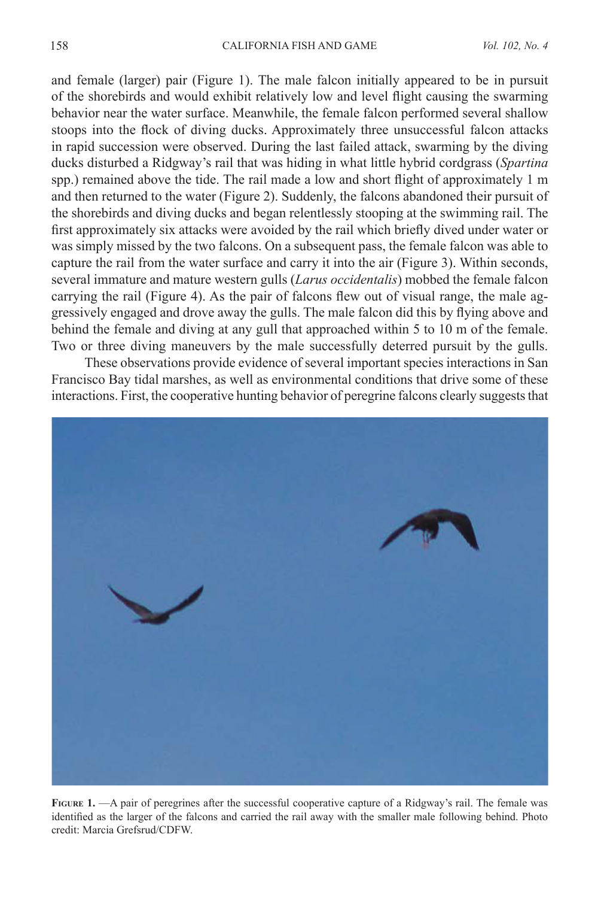and female (larger) pair (Figure 1). The male falcon initially appeared to be in pursuit of the shorebirds and would exhibit relatively low and level flight causing the swarming behavior near the water surface. Meanwhile, the female falcon performed several shallow stoops into the flock of diving ducks. Approximately three unsuccessful falcon attacks in rapid succession were observed. During the last failed attack, swarming by the diving ducks disturbed a Ridgway's rail that was hiding in what little hybrid cordgrass (*Spartina*  spp.) remained above the tide. The rail made a low and short flight of approximately 1 m and then returned to the water (Figure 2). Suddenly, the falcons abandoned their pursuit of the shorebirds and diving ducks and began relentlessly stooping at the swimming rail. The first approximately six attacks were avoided by the rail which briefly dived under water or was simply missed by the two falcons. On a subsequent pass, the female falcon was able to capture the rail from the water surface and carry it into the air (Figure 3). Within seconds, several immature and mature western gulls (*Larus occidentalis*) mobbed the female falcon carrying the rail (Figure 4). As the pair of falcons flew out of visual range, the male aggressively engaged and drove away the gulls. The male falcon did this by flying above and behind the female and diving at any gull that approached within 5 to 10 m of the female. Two or three diving maneuvers by the male successfully deterred pursuit by the gulls.

These observations provide evidence of several important species interactions in San Francisco Bay tidal marshes, as well as environmental conditions that drive some of these interactions. First, the cooperative hunting behavior of peregrine falcons clearly suggests that



**FIGURE 1.** —A pair of peregrines after the successful cooperative capture of a Ridgway's rail. The female was identified as the larger of the falcons and carried the rail away with the smaller male following behind. Photo credit: Marcia Grefsrud/CDFW.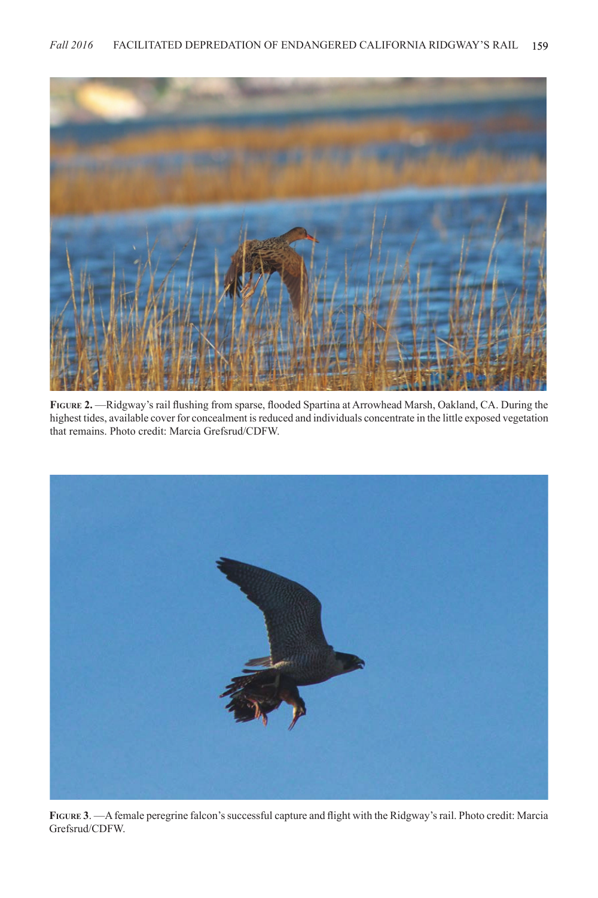

FIGURE 2. —Ridgway's rail flushing from sparse, flooded Spartina at Arrowhead Marsh, Oakland, CA. During the highest tides, available cover for concealment is reduced and individuals concentrate in the little exposed vegetation that remains. Photo credit: Marcia Grefsrud/CDFW.



**Figure 3**. —A female peregrine falcon's successful capture and flight with the Ridgway's rail. Photo credit: Marcia Grefsrud/CDFW.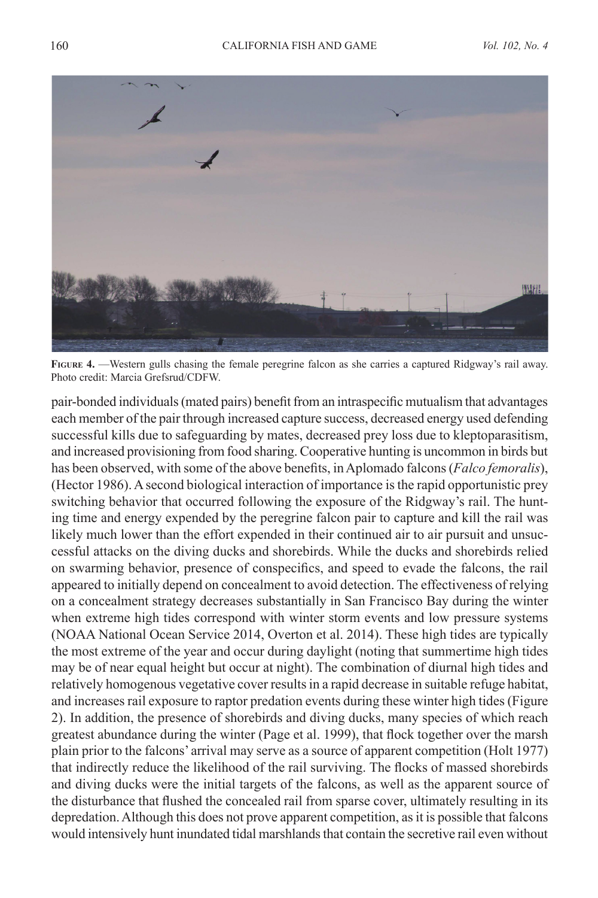

**Figure 4.** —Western gulls chasing the female peregrine falcon as she carries a captured Ridgway's rail away. Photo credit: Marcia Grefsrud/CDFW.

pair-bonded individuals (mated pairs) benefit from an intraspecific mutualism that advantages each member of the pair through increased capture success, decreased energy used defending successful kills due to safeguarding by mates, decreased prey loss due to kleptoparasitism, and increased provisioning from food sharing. Cooperative hunting is uncommon in birds but has been observed, with some of the above benefits, in Aplomado falcons (*Falco femoralis*), (Hector 1986). A second biological interaction of importance is the rapid opportunistic prey switching behavior that occurred following the exposure of the Ridgway's rail. The hunting time and energy expended by the peregrine falcon pair to capture and kill the rail was likely much lower than the effort expended in their continued air to air pursuit and unsuccessful attacks on the diving ducks and shorebirds. While the ducks and shorebirds relied on swarming behavior, presence of conspecifics, and speed to evade the falcons, the rail appeared to initially depend on concealment to avoid detection. The effectiveness of relying on a concealment strategy decreases substantially in San Francisco Bay during the winter when extreme high tides correspond with winter storm events and low pressure systems (NOAA National Ocean Service 2014, Overton et al. 2014). These high tides are typically the most extreme of the year and occur during daylight (noting that summertime high tides may be of near equal height but occur at night). The combination of diurnal high tides and relatively homogenous vegetative cover results in a rapid decrease in suitable refuge habitat, and increases rail exposure to raptor predation events during these winter high tides (Figure 2). In addition, the presence of shorebirds and diving ducks, many species of which reach greatest abundance during the winter (Page et al. 1999), that flock together over the marsh plain prior to the falcons' arrival may serve as a source of apparent competition (Holt 1977) that indirectly reduce the likelihood of the rail surviving. The flocks of massed shorebirds and diving ducks were the initial targets of the falcons, as well as the apparent source of the disturbance that flushed the concealed rail from sparse cover, ultimately resulting in its depredation. Although this does not prove apparent competition, as it is possible that falcons would intensively hunt inundated tidal marshlands that contain the secretive rail even without